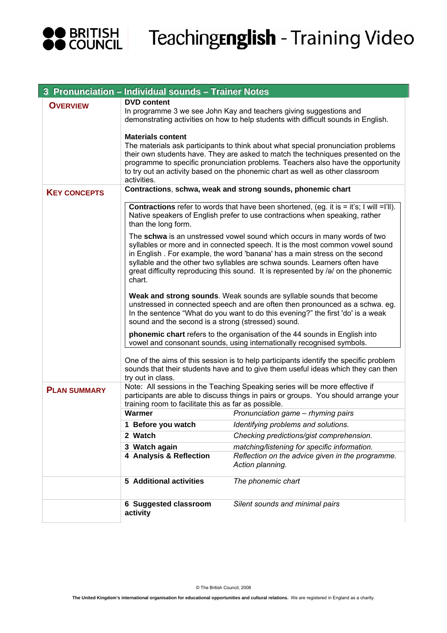

# TeachingEnglish - Training Video

| 3 Pronunciation - Individual sounds - Trainer Notes                                                                                                                                             |                                                                                                                                                                                                                                                                                                                                                                                                                                                                                                                                                                                                                                                                                                                                                                                                                                                                            |                                                                                                                                                                                                                                                                                                                                            |
|-------------------------------------------------------------------------------------------------------------------------------------------------------------------------------------------------|----------------------------------------------------------------------------------------------------------------------------------------------------------------------------------------------------------------------------------------------------------------------------------------------------------------------------------------------------------------------------------------------------------------------------------------------------------------------------------------------------------------------------------------------------------------------------------------------------------------------------------------------------------------------------------------------------------------------------------------------------------------------------------------------------------------------------------------------------------------------------|--------------------------------------------------------------------------------------------------------------------------------------------------------------------------------------------------------------------------------------------------------------------------------------------------------------------------------------------|
| <b>OVERVIEW</b>                                                                                                                                                                                 | <b>DVD</b> content<br>In programme 3 we see John Kay and teachers giving suggestions and<br>demonstrating activities on how to help students with difficult sounds in English.                                                                                                                                                                                                                                                                                                                                                                                                                                                                                                                                                                                                                                                                                             |                                                                                                                                                                                                                                                                                                                                            |
|                                                                                                                                                                                                 | <b>Materials content</b><br>activities.                                                                                                                                                                                                                                                                                                                                                                                                                                                                                                                                                                                                                                                                                                                                                                                                                                    | The materials ask participants to think about what special pronunciation problems<br>their own students have. They are asked to match the techniques presented on the<br>programme to specific pronunciation problems. Teachers also have the opportunity<br>to try out an activity based on the phonemic chart as well as other classroom |
| <b>KEY CONCEPTS</b>                                                                                                                                                                             | Contractions, schwa, weak and strong sounds, phonemic chart                                                                                                                                                                                                                                                                                                                                                                                                                                                                                                                                                                                                                                                                                                                                                                                                                |                                                                                                                                                                                                                                                                                                                                            |
|                                                                                                                                                                                                 | <b>Contractions</b> refer to words that have been shortened, (eg. it is = it's; I will =I'll).<br>Native speakers of English prefer to use contractions when speaking, rather<br>than the long form.                                                                                                                                                                                                                                                                                                                                                                                                                                                                                                                                                                                                                                                                       |                                                                                                                                                                                                                                                                                                                                            |
|                                                                                                                                                                                                 | The schwa is an unstressed vowel sound which occurs in many words of two<br>syllables or more and in connected speech. It is the most common vowel sound<br>in English. For example, the word 'banana' has a main stress on the second<br>syllable and the other two syllables are schwa sounds. Learners often have<br>great difficulty reproducing this sound. It is represented by /a/ on the phonemic<br>chart.<br>Weak and strong sounds. Weak sounds are syllable sounds that become<br>unstressed in connected speech and are often then pronounced as a schwa. eg.<br>In the sentence "What do you want to do this evening?" the first 'do' is a weak<br>sound and the second is a strong (stressed) sound.<br>phonemic chart refers to the organisation of the 44 sounds in English into<br>vowel and consonant sounds, using internationally recognised symbols. |                                                                                                                                                                                                                                                                                                                                            |
|                                                                                                                                                                                                 |                                                                                                                                                                                                                                                                                                                                                                                                                                                                                                                                                                                                                                                                                                                                                                                                                                                                            |                                                                                                                                                                                                                                                                                                                                            |
|                                                                                                                                                                                                 |                                                                                                                                                                                                                                                                                                                                                                                                                                                                                                                                                                                                                                                                                                                                                                                                                                                                            |                                                                                                                                                                                                                                                                                                                                            |
| One of the aims of this session is to help participants identify the specific problem<br>sounds that their students have and to give them useful ideas which they can then<br>try out in class. |                                                                                                                                                                                                                                                                                                                                                                                                                                                                                                                                                                                                                                                                                                                                                                                                                                                                            |                                                                                                                                                                                                                                                                                                                                            |
| <b>PLAN SUMMARY</b>                                                                                                                                                                             | Note: All sessions in the Teaching Speaking series will be more effective if<br>participants are able to discuss things in pairs or groups. You should arrange your<br>training room to facilitate this as far as possible.                                                                                                                                                                                                                                                                                                                                                                                                                                                                                                                                                                                                                                                |                                                                                                                                                                                                                                                                                                                                            |
|                                                                                                                                                                                                 | Warmer                                                                                                                                                                                                                                                                                                                                                                                                                                                                                                                                                                                                                                                                                                                                                                                                                                                                     | Pronunciation game - rhyming pairs                                                                                                                                                                                                                                                                                                         |
|                                                                                                                                                                                                 | 1 Before you watch                                                                                                                                                                                                                                                                                                                                                                                                                                                                                                                                                                                                                                                                                                                                                                                                                                                         | Identifying problems and solutions.                                                                                                                                                                                                                                                                                                        |
|                                                                                                                                                                                                 | 2 Watch                                                                                                                                                                                                                                                                                                                                                                                                                                                                                                                                                                                                                                                                                                                                                                                                                                                                    | Checking predictions/gist comprehension.                                                                                                                                                                                                                                                                                                   |
|                                                                                                                                                                                                 | 3 Watch again                                                                                                                                                                                                                                                                                                                                                                                                                                                                                                                                                                                                                                                                                                                                                                                                                                                              | matching/listening for specific information.                                                                                                                                                                                                                                                                                               |
|                                                                                                                                                                                                 | 4 Analysis & Reflection                                                                                                                                                                                                                                                                                                                                                                                                                                                                                                                                                                                                                                                                                                                                                                                                                                                    | Reflection on the advice given in the programme.<br>Action planning.                                                                                                                                                                                                                                                                       |
|                                                                                                                                                                                                 | <b>5</b> Additional activities                                                                                                                                                                                                                                                                                                                                                                                                                                                                                                                                                                                                                                                                                                                                                                                                                                             | The phonemic chart                                                                                                                                                                                                                                                                                                                         |
|                                                                                                                                                                                                 | 6 Suggested classroom<br>activity                                                                                                                                                                                                                                                                                                                                                                                                                                                                                                                                                                                                                                                                                                                                                                                                                                          | Silent sounds and minimal pairs                                                                                                                                                                                                                                                                                                            |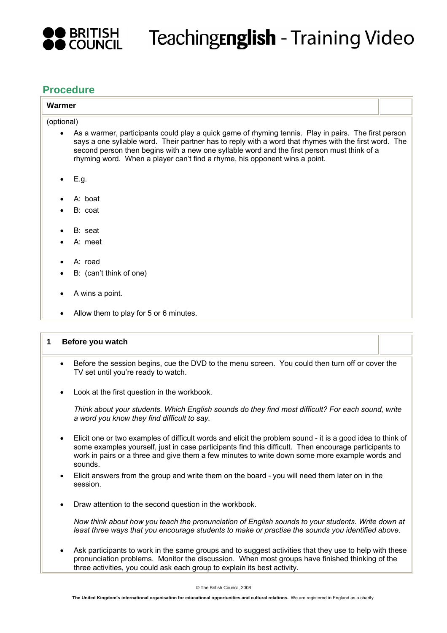

## Teaching**English** - Training Video

#### **Procedure**

### **Warmer**  (optional) • As a warmer, participants could play a quick game of rhyming tennis. Play in pairs. The first person says a one syllable word. Their partner has to reply with a word that rhymes with the first word. The second person then begins with a new one syllable word and the first person must think of a rhyming word. When a player can't find a rhyme, his opponent wins a point. • E.g. • A: boat B: coat B: seat A: meet A: road B: (can't think of one) • A wins a point. • Allow them to play for 5 or 6 minutes.

#### **1 Before you watch**

- Before the session begins, cue the DVD to the menu screen. You could then turn off or cover the TV set until you're ready to watch.
- Look at the first question in the workbook.

*Think about your students. Which English sounds do they find most difficult? For each sound, write a word you know they find difficult to say.*

- Elicit one or two examples of difficult words and elicit the problem sound it is a good idea to think of some examples yourself, just in case participants find this difficult. Then encourage participants to work in pairs or a three and give them a few minutes to write down some more example words and sounds.
- Elicit answers from the group and write them on the board you will need them later on in the session.
- Draw attention to the second question in the workbook.

*Now think about how you teach the pronunciation of English sounds to your students. Write down at least three ways that you encourage students to make or practise the sounds you identified above.*

• Ask participants to work in the same groups and to suggest activities that they use to help with these pronunciation problems. Monitor the discussion. When most groups have finished thinking of the three activities, you could ask each group to explain its best activity.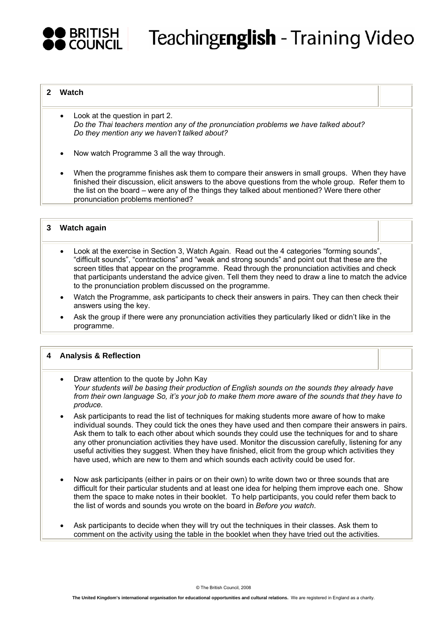

#### **2 Watch**

- Look at the question in part 2. *Do the Thai teachers mention any of the pronunciation problems we have talked about? Do they mention any we haven't talked about?*
- Now watch Programme 3 all the way through.
- When the programme finishes ask them to compare their answers in small groups. When they have finished their discussion, elicit answers to the above questions from the whole group. Refer them to the list on the board – were any of the things they talked about mentioned? Were there other pronunciation problems mentioned?

#### **3 Watch again**

- Look at the exercise in Section 3, Watch Again. Read out the 4 categories "forming sounds", "difficult sounds", "contractions" and "weak and strong sounds" and point out that these are the screen titles that appear on the programme. Read through the pronunciation activities and check that participants understand the advice given. Tell them they need to draw a line to match the advice to the pronunciation problem discussed on the programme.
- Watch the Programme, ask participants to check their answers in pairs. They can then check their answers using the key.
- Ask the group if there were any pronunciation activities they particularly liked or didn't like in the programme.

#### **4 Analysis & Reflection**

- Draw attention to the quote by John Kay *Your students will be basing their production of English sounds on the sounds they already have from their own language So, it's your job to make them more aware of the sounds that they have to produce.*
- Ask participants to read the list of techniques for making students more aware of how to make individual sounds. They could tick the ones they have used and then compare their answers in pairs. Ask them to talk to each other about which sounds they could use the techniques for and to share any other pronunciation activities they have used. Monitor the discussion carefully, listening for any useful activities they suggest. When they have finished, elicit from the group which activities they have used, which are new to them and which sounds each activity could be used for.
- Now ask participants (either in pairs or on their own) to write down two or three sounds that are difficult for their particular students and at least one idea for helping them improve each one. Show them the space to make notes in their booklet. To help participants, you could refer them back to the list of words and sounds you wrote on the board in *Before you watch*.
- Ask participants to decide when they will try out the techniques in their classes. Ask them to comment on the activity using the table in the booklet when they have tried out the activities.